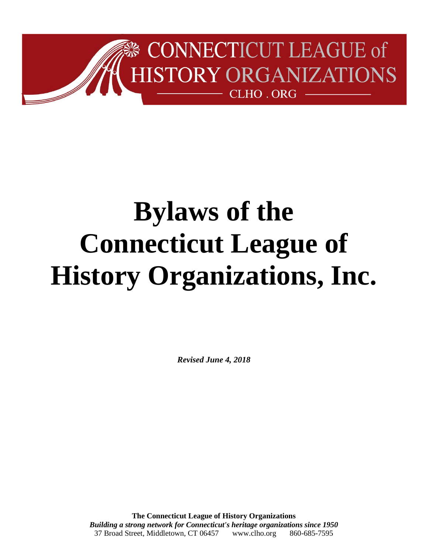

*Revised June 4, 2018*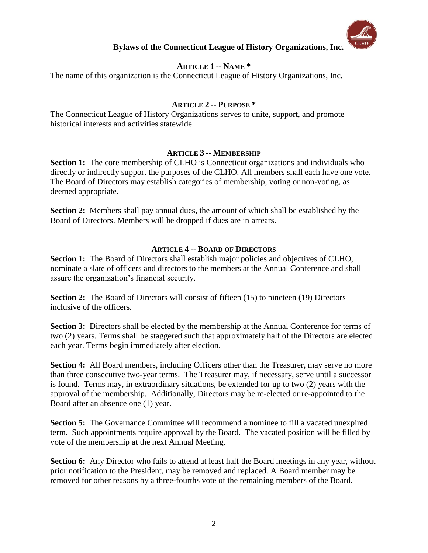

# **ARTICLE 1 -- NAME \***

The name of this organization is the Connecticut League of History Organizations, Inc.

### **ARTICLE 2 -- PURPOSE \***

The Connecticut League of History Organizations serves to unite, support, and promote historical interests and activities statewide.

### **ARTICLE 3 -- MEMBERSHIP**

**Section 1:** The core membership of CLHO is Connecticut organizations and individuals who directly or indirectly support the purposes of the CLHO. All members shall each have one vote. The Board of Directors may establish categories of membership, voting or non-voting, as deemed appropriate.

**Section 2:** Members shall pay annual dues, the amount of which shall be established by the Board of Directors. Members will be dropped if dues are in arrears.

# **ARTICLE 4 -- BOARD OF DIRECTORS**

**Section 1:** The Board of Directors shall establish major policies and objectives of CLHO, nominate a slate of officers and directors to the members at the Annual Conference and shall assure the organization's financial security.

**Section 2:** The Board of Directors will consist of fifteen (15) to nineteen (19) Directors inclusive of the officers.

**Section 3:** Directors shall be elected by the membership at the Annual Conference for terms of two (2) years. Terms shall be staggered such that approximately half of the Directors are elected each year. Terms begin immediately after election.

**Section 4:** All Board members, including Officers other than the Treasurer, may serve no more than three consecutive two-year terms. The Treasurer may, if necessary, serve until a successor is found. Terms may, in extraordinary situations, be extended for up to two (2) years with the approval of the membership. Additionally, Directors may be re-elected or re-appointed to the Board after an absence one (1) year.

**Section 5:** The Governance Committee will recommend a nominee to fill a vacated unexpired term. Such appointments require approval by the Board. The vacated position will be filled by vote of the membership at the next Annual Meeting.

**Section 6:** Any Director who fails to attend at least half the Board meetings in any year, without prior notification to the President, may be removed and replaced. A Board member may be removed for other reasons by a three-fourths vote of the remaining members of the Board.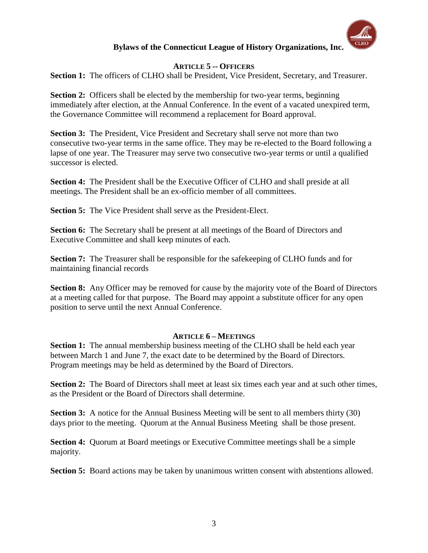

### **ARTICLE 5 -- OFFICERS**

Section 1: The officers of CLHO shall be President, Vice President, Secretary, and Treasurer.

**Section 2:** Officers shall be elected by the membership for two-year terms, beginning immediately after election, at the Annual Conference. In the event of a vacated unexpired term, the Governance Committee will recommend a replacement for Board approval.

**Section 3:** The President, Vice President and Secretary shall serve not more than two consecutive two-year terms in the same office. They may be re-elected to the Board following a lapse of one year. The Treasurer may serve two consecutive two-year terms or until a qualified successor is elected.

**Section 4:** The President shall be the Executive Officer of CLHO and shall preside at all meetings. The President shall be an ex-officio member of all committees.

**Section 5:** The Vice President shall serve as the President-Elect.

**Section 6:** The Secretary shall be present at all meetings of the Board of Directors and Executive Committee and shall keep minutes of each.

**Section 7:** The Treasurer shall be responsible for the safekeeping of CLHO funds and for maintaining financial records

**Section 8:** Any Officer may be removed for cause by the majority vote of the Board of Directors at a meeting called for that purpose. The Board may appoint a substitute officer for any open position to serve until the next Annual Conference.

### **ARTICLE 6 – MEETINGS**

**Section 1:** The annual membership business meeting of the CLHO shall be held each year between March 1 and June 7, the exact date to be determined by the Board of Directors. Program meetings may be held as determined by the Board of Directors.

**Section 2:** The Board of Directors shall meet at least six times each year and at such other times, as the President or the Board of Directors shall determine.

**Section 3:** A notice for the Annual Business Meeting will be sent to all members thirty (30) days prior to the meeting. Quorum at the Annual Business Meeting shall be those present.

**Section 4:** Quorum at Board meetings or Executive Committee meetings shall be a simple majority.

**Section 5:** Board actions may be taken by unanimous written consent with abstentions allowed.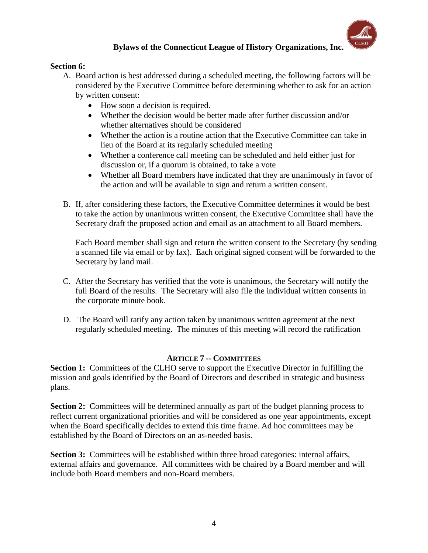

# **Section 6:**

- A. Board action is best addressed during a scheduled meeting, the following factors will be considered by the Executive Committee before determining whether to ask for an action by written consent:
	- How soon a decision is required.
	- Whether the decision would be better made after further discussion and/or whether alternatives should be considered
	- Whether the action is a routine action that the Executive Committee can take in lieu of the Board at its regularly scheduled meeting
	- Whether a conference call meeting can be scheduled and held either just for discussion or, if a quorum is obtained, to take a vote
	- Whether all Board members have indicated that they are unanimously in favor of the action and will be available to sign and return a written consent.
- B. If, after considering these factors, the Executive Committee determines it would be best to take the action by unanimous written consent, the Executive Committee shall have the Secretary draft the proposed action and email as an attachment to all Board members.

Each Board member shall sign and return the written consent to the Secretary (by sending a scanned file via email or by fax). Each original signed consent will be forwarded to the Secretary by land mail.

- C. After the Secretary has verified that the vote is unanimous, the Secretary will notify the full Board of the results. The Secretary will also file the individual written consents in the corporate minute book.
- D. The Board will ratify any action taken by unanimous written agreement at the next regularly scheduled meeting. The minutes of this meeting will record the ratification

### **ARTICLE 7 -- COMMITTEES**

**Section 1:** Committees of the CLHO serve to support the Executive Director in fulfilling the mission and goals identified by the Board of Directors and described in strategic and business plans.

**Section 2:** Committees will be determined annually as part of the budget planning process to reflect current organizational priorities and will be considered as one year appointments, except when the Board specifically decides to extend this time frame. Ad hoc committees may be established by the Board of Directors on an as-needed basis.

**Section 3:** Committees will be established within three broad categories: internal affairs, external affairs and governance. All committees with be chaired by a Board member and will include both Board members and non-Board members.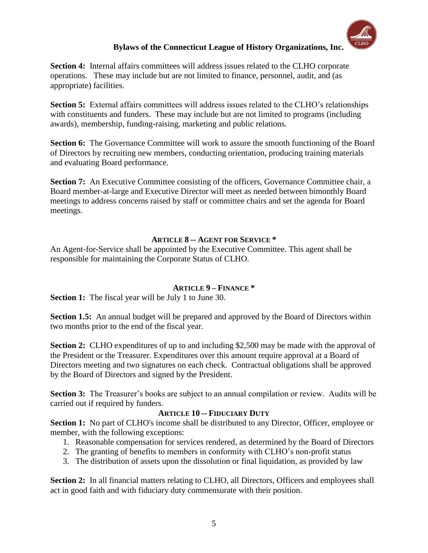**Section 4:** Internal affairs committees will address issues related to the CLHO corporate operations. These may include but are not limited to finance, personnel, audit, and (as appropriate) facilities.

**Section 5:** External affairs committees will address issues related to the CLHO's relationships with constituents and funders. These may include but are not limited to programs (including awards), membership, funding-raising, marketing and public relations.

**Section 6:** The Governance Committee will work to assure the smooth functioning of the Board of Directors by recruiting new members, conducting orientation, producing training materials and evaluating Board performance.

**Section 7:** An Executive Committee consisting of the officers, Governance Committee chair, a Board member-at-large and Executive Director will meet as needed between bimonthly Board meetings to address concerns raised by staff or committee chairs and set the agenda for Board meetings.

# **ARTICLE 8 -- AGENT FOR SERVICE \***

An Agent-for-Service shall be appointed by the Executive Committee. This agent shall be responsible for maintaining the Corporate Status of CLHO.

# **ARTICLE 9 – FINANCE \***

**Section 1:** The fiscal year will be July 1 to June 30.

**Section 1.5:** An annual budget will be prepared and approved by the Board of Directors within two months prior to the end of the fiscal year.

**Section 2:** CLHO expenditures of up to and including \$2,500 may be made with the approval of the President or the Treasurer. Expenditures over this amount require approval at a Board of Directors meeting and two signatures on each check. Contractual obligations shall be approved by the Board of Directors and signed by the President.

**Section 3:** The Treasurer's books are subject to an annual compilation or review. Audits will be carried out if required by funders.

# **ARTICLE 10 -- FIDUCIARY DUTY**

**Section 1:** No part of CLHO's income shall be distributed to any Director, Officer, employee or member, with the following exceptions:

- 1. Reasonable compensation for services rendered, as determined by the Board of Directors
- 2. The granting of benefits to members in conformity with CLHO's non-profit status
- 3. The distribution of assets upon the dissolution or final liquidation, as provided by law

**Section 2:** In all financial matters relating to CLHO, all Directors, Officers and employees shall act in good faith and with fiduciary duty commensurate with their position.